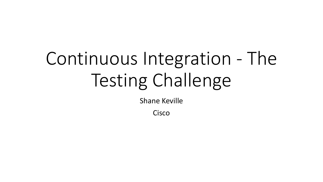# Continuous Integration - The Testing Challenge

Shane Keville

**Cisco**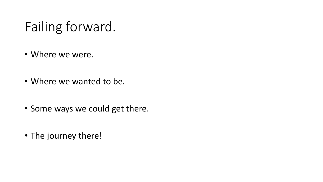## Failing forward.

- Where we were.
- Where we wanted to be.
- Some ways we could get there.
- The journey there!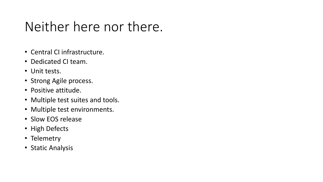### Neither here nor there.

- Central CI infrastructure.
- Dedicated CI team.
- Unit tests.
- Strong Agile process.
- Positive attitude.
- Multiple test suites and tools.
- Multiple test environments.
- Slow EOS release
- High Defects
- Telemetry
- Static Analysis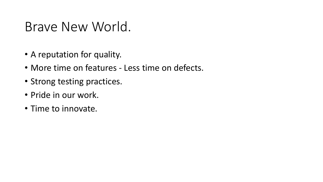#### Brave New World.

- A reputation for quality.
- More time on features Less time on defects.
- Strong testing practices.
- Pride in our work.
- Time to innovate.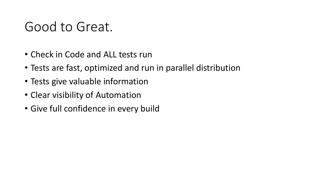#### Good to Great.

- Check in Code and ALL tests run
- Tests are fast, optimized and run in parallel distribution
- Tests give valuable information
- Clear visibility of Automation
- Give full confidence in every build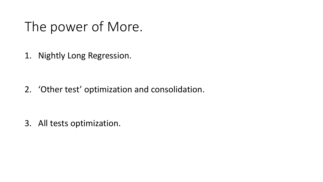#### The power of More.

1. Nightly Long Regression.

2. 'Other test' optimization and consolidation.

3. All tests optimization.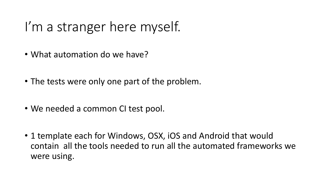## I'm a stranger here myself.

- What automation do we have?
- The tests were only one part of the problem.
- We needed a common CI test pool.
- 1 template each for Windows, OSX, iOS and Android that would contain all the tools needed to run all the automated frameworks we were using.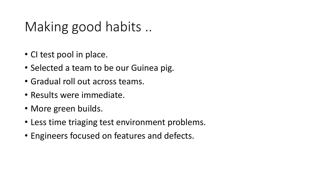### Making good habits ..

- CI test pool in place.
- Selected a team to be our Guinea pig.
- Gradual roll out across teams.
- Results were immediate.
- More green builds.
- Less time triaging test environment problems.
- Engineers focused on features and defects.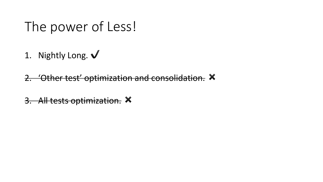### The power of Less!

1. Nightly Long.  $\sqrt$ 

2. 'Other test' optimization and consolidation.  $\times$ 

3. All tests optimization.  $\times$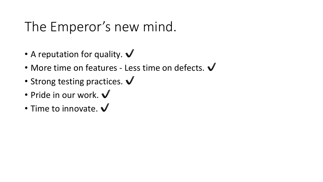## The Emperor's new mind.

- A reputation for quality.  $\checkmark$
- More time on features Less time on defects.  $\checkmark$
- Strong testing practices.  $\checkmark$
- Pride in our work.  $\checkmark$
- Time to innovate.  $\checkmark$